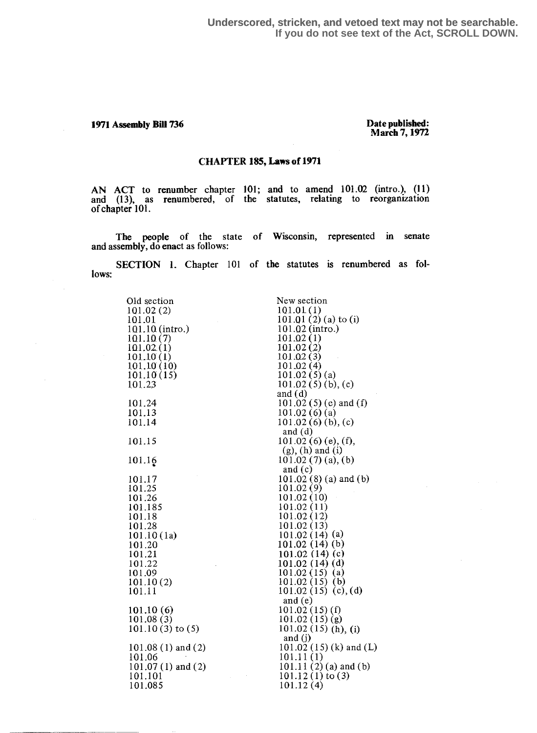1971 Assembly Bill 736

## Date published: March 7,1972

## CHAPTER 185, Laws of 1971

AN ACT to renumber chapter 101; and to amend  $101.02$  (intro.), (11) and (13), as renumbered, of the statutes, relating to reorganization of chapter 101.

The people of the state of Wisconsin, represented in senate and assembly, do enact as follows:

SECTION 1. Chapter 101 of the statutes is renumbered as follows:

| Old section                                                                                                                                                                 | New section                                                                                                                                                                                                                                                                                                                                                                                          |
|-----------------------------------------------------------------------------------------------------------------------------------------------------------------------------|------------------------------------------------------------------------------------------------------------------------------------------------------------------------------------------------------------------------------------------------------------------------------------------------------------------------------------------------------------------------------------------------------|
| 101.02(2)                                                                                                                                                                   | 101.01(1)                                                                                                                                                                                                                                                                                                                                                                                            |
| 101.01                                                                                                                                                                      | 101.01 $(2)$ (a) to (i)                                                                                                                                                                                                                                                                                                                                                                              |
| 101.10 (intro.)                                                                                                                                                             | $101.02$ (intro.)                                                                                                                                                                                                                                                                                                                                                                                    |
| 101.10(7)                                                                                                                                                                   | 101.02(1)                                                                                                                                                                                                                                                                                                                                                                                            |
| 101.02(1)                                                                                                                                                                   | 101.02(2)                                                                                                                                                                                                                                                                                                                                                                                            |
| 101.10(1)                                                                                                                                                                   | 101.02(3)                                                                                                                                                                                                                                                                                                                                                                                            |
| 101.10(10)                                                                                                                                                                  | 101.02(4)                                                                                                                                                                                                                                                                                                                                                                                            |
| 101.10(15)                                                                                                                                                                  | 101.02(5)(a)                                                                                                                                                                                                                                                                                                                                                                                         |
| 101.23                                                                                                                                                                      | $101.02(5)(b)$ , (c)                                                                                                                                                                                                                                                                                                                                                                                 |
|                                                                                                                                                                             | and $(d)$                                                                                                                                                                                                                                                                                                                                                                                            |
| 101.24                                                                                                                                                                      | 101.02 $(5)$ (e) and $(f)$                                                                                                                                                                                                                                                                                                                                                                           |
| 101.13                                                                                                                                                                      | 101.02(6)(a)                                                                                                                                                                                                                                                                                                                                                                                         |
| 101.14                                                                                                                                                                      | $101.02(6)(b)$ , (c)                                                                                                                                                                                                                                                                                                                                                                                 |
|                                                                                                                                                                             | and $(d)$                                                                                                                                                                                                                                                                                                                                                                                            |
| 101.15                                                                                                                                                                      | $101.02(6)$ (e), (f),                                                                                                                                                                                                                                                                                                                                                                                |
|                                                                                                                                                                             | $(g)$ , $(h)$ and $(i)$                                                                                                                                                                                                                                                                                                                                                                              |
| 101.16                                                                                                                                                                      | 101.02 $(7)$ (a), (b)                                                                                                                                                                                                                                                                                                                                                                                |
|                                                                                                                                                                             | and $(c)$                                                                                                                                                                                                                                                                                                                                                                                            |
|                                                                                                                                                                             |                                                                                                                                                                                                                                                                                                                                                                                                      |
|                                                                                                                                                                             |                                                                                                                                                                                                                                                                                                                                                                                                      |
|                                                                                                                                                                             |                                                                                                                                                                                                                                                                                                                                                                                                      |
|                                                                                                                                                                             |                                                                                                                                                                                                                                                                                                                                                                                                      |
|                                                                                                                                                                             |                                                                                                                                                                                                                                                                                                                                                                                                      |
|                                                                                                                                                                             |                                                                                                                                                                                                                                                                                                                                                                                                      |
|                                                                                                                                                                             |                                                                                                                                                                                                                                                                                                                                                                                                      |
|                                                                                                                                                                             |                                                                                                                                                                                                                                                                                                                                                                                                      |
|                                                                                                                                                                             |                                                                                                                                                                                                                                                                                                                                                                                                      |
|                                                                                                                                                                             |                                                                                                                                                                                                                                                                                                                                                                                                      |
|                                                                                                                                                                             |                                                                                                                                                                                                                                                                                                                                                                                                      |
|                                                                                                                                                                             |                                                                                                                                                                                                                                                                                                                                                                                                      |
| 101.11                                                                                                                                                                      |                                                                                                                                                                                                                                                                                                                                                                                                      |
|                                                                                                                                                                             | and $(e)$                                                                                                                                                                                                                                                                                                                                                                                            |
|                                                                                                                                                                             |                                                                                                                                                                                                                                                                                                                                                                                                      |
|                                                                                                                                                                             |                                                                                                                                                                                                                                                                                                                                                                                                      |
|                                                                                                                                                                             |                                                                                                                                                                                                                                                                                                                                                                                                      |
|                                                                                                                                                                             |                                                                                                                                                                                                                                                                                                                                                                                                      |
| $101.08(1)$ and $(2)$                                                                                                                                                       |                                                                                                                                                                                                                                                                                                                                                                                                      |
| 101.06                                                                                                                                                                      | 101.11(1)                                                                                                                                                                                                                                                                                                                                                                                            |
| $101.07(1)$ and $(2)$                                                                                                                                                       |                                                                                                                                                                                                                                                                                                                                                                                                      |
| 101.101                                                                                                                                                                     |                                                                                                                                                                                                                                                                                                                                                                                                      |
| 101.085                                                                                                                                                                     | 101.12(4)                                                                                                                                                                                                                                                                                                                                                                                            |
| 101.17<br>101.25<br>101.26<br>101.185<br>101.18<br>101.28<br>101.10(1a)<br>101.20<br>101.21<br>101.22<br>101.09<br>101.10(2)<br>101.10(6)<br>101.08(3)<br>101.10 (3) to (5) | 101.02 (8) (a) and (b)<br>101.02 (9)<br>101.02(10)<br>101.02(11)<br>101.02(12)<br>101.02(13)<br>101.02 $(14)$ $(a)$<br>101.02(14)(b)<br>101.02 $(14)$ (c)<br>101.02 $(14)(d)$<br>101.02(15)(a)<br>$101.02(15)$ (b)<br>101.02 (15) (c), (d)<br>$101.02(15)$ (f)<br>101.02(15)(g)<br>101.02 (15) (h), (i)<br>and $(j)$<br>101.02 $(15)$ (k) and (L)<br>$101.11(2)$ (a) and (b)<br>$101.12(1)$ to $(3)$ |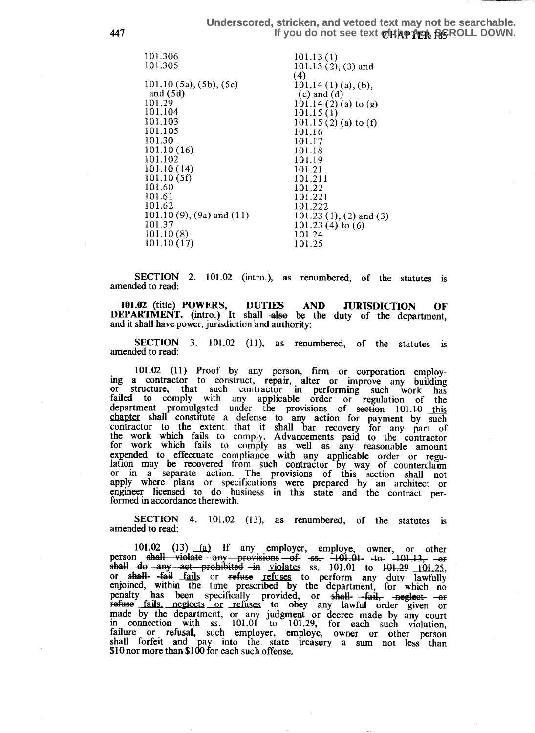**447 If you do not see text of the ACCIL DOWN. Underscored, stricken, and vetoed text may not be searchable.**

| 101.306                         | 101.13(1)                      |
|---------------------------------|--------------------------------|
| 101.305                         | $101.13(2), (3)$ and           |
|                                 | (4)                            |
| $101.10(5a)$ , $(5b)$ , $(5c)$  | $101.14(1)(a)$ , (b),          |
| and $(5d)$                      | $(c)$ and $(d)$                |
| 101.29                          | $101.14(2)(a)$ to (g)          |
| 101.104                         | 101.15(1)                      |
| 101.103                         | $101.15(2)$ (a) to (f)         |
| 101.105                         | 101.16                         |
| 101.30                          | 101.17                         |
| 101.10(16)                      | 101.18                         |
| 101.102                         | 101.19                         |
| 101.10 (14)                     | 101.21                         |
| 101.10 (5f)                     | 101.211                        |
| 101.60                          | 101.22                         |
| 101.61                          | 101.221                        |
| 101.62                          | 101.222                        |
| $101.10(9)$ , $(9a)$ and $(11)$ | 101.23 $(1)$ , $(2)$ and $(3)$ |
| 101.37                          | $101.23(4)$ to $(6)$           |
| 101.10(8)                       | 101.24                         |
| 101.10(17)                      | 101.25                         |
|                                 |                                |

SECTION 2. 101.02 (intro.), as renumbered, of the statutes is amended to read:

101.02 (title) POWERS, DUTIES AND JURISDICTION OF DEPARTMENT. (intro.) It shall also be the duty of the department, and it shall have power, jurisdiction and authority:

SECTION 3. 101.02 (11), as renumbered, of the statutes is amended to read:

101 .02 (11) Proof by any person, firm or corporation employing a contractor to construct, repair, , alter or improve any building or structure, that such contractor m performing such work has failed to comply with any applicable order or regulation of the department promulgated under the provisions of section 101.10 this<br>chanter shall constitute a defense to any equipment as write the such chapter shall constitute a defense to any action for payment by such contractor to the extent that it shall bar recovery for any part of the work which fails to comply. Advancements paid to the contractor work which fails to comply as well as any reasonable amount expended to effectuate compliance with any applicable order or regu-<br>lation may be recovered from such contractor by way of counterclaim or in a separate action . The provisions of this section shall not apply where plans or specifications were prepared by an architect or engineer licensed to do business in this state and the contract performed in accordance therewith.

SECTION 4. 101.02 (13), as renumbered, of the statutes is amended to read:

101.02 (13)  $\frac{1}{2}$  If any employer, employe, owner, or other person shall violate -any provisions -of -ss. -101.01 -to  $\frac{1}{10! \cdot 13}$ , -or 101.02 (13) (a) If any employer, employe, owner, or other<br>person shall violate -any provisions -of -ss. -101.01 to  $\frac{101.13}{101.25}$ , -or<br>shall  $\frac{63}{101}$  site prohibited -in violates ss. 101.01 to  $\frac{101.29}{101.25}$ or shall-  $\frac{1}{4}$  fails or refuse refuses to perform any duty lawfully enjoined, within the time prescribed by the department, for which no penalty has been specifically provided, or shall--fail, neglect- -or refuses for refuses to obey any lawful order given or made by the department, or any judgment or decree made by any court in connection with ss. 101.01 to 101.29, for each such violation, failure or refusal, such employer, employe, owner or other person shall forfeit and pay into the state treasury a sum not less than \$10 nor more than \$100 for each such offense.